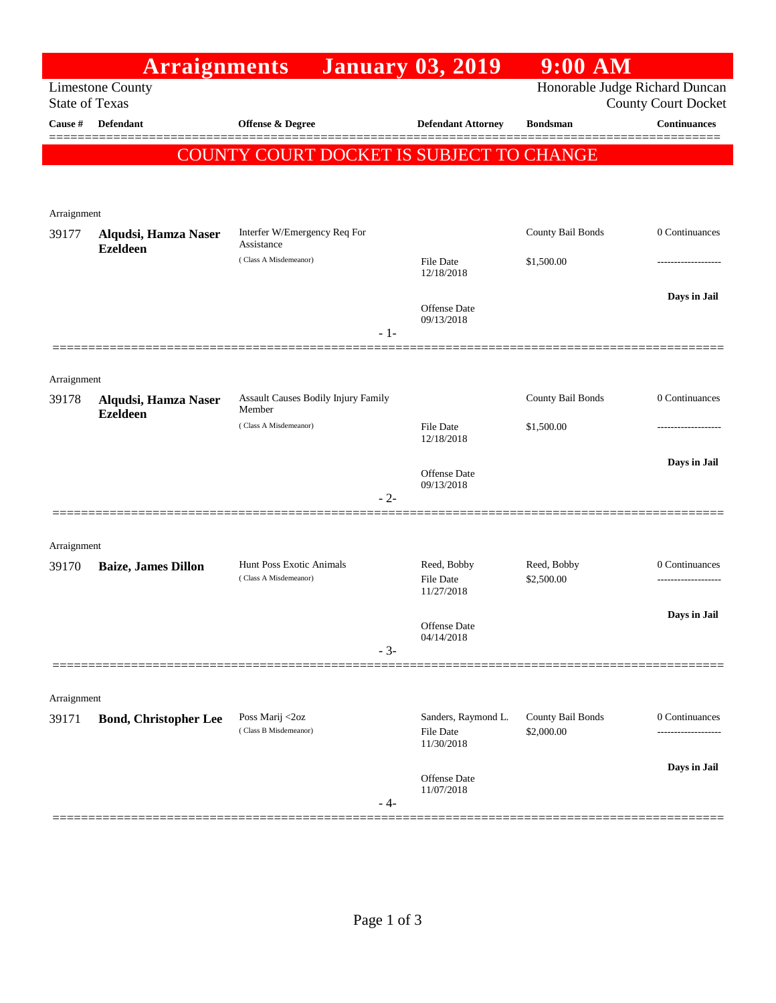|                       | <b>Arraignments</b>                     |                                               | <b>January 03, 2019</b>                        | 9:00 AM           |                                |
|-----------------------|-----------------------------------------|-----------------------------------------------|------------------------------------------------|-------------------|--------------------------------|
|                       | <b>Limestone County</b>                 |                                               |                                                |                   | Honorable Judge Richard Duncan |
| <b>State of Texas</b> |                                         |                                               |                                                |                   | <b>County Court Docket</b>     |
| Cause #               | Defendant                               | Offense & Degree                              | <b>Defendant Attorney</b>                      | <b>Bondsman</b>   | <b>Continuances</b>            |
|                       |                                         | COUNTY COURT DOCKET IS SUBJECT TO CHANGE      |                                                |                   |                                |
|                       |                                         |                                               |                                                |                   |                                |
|                       |                                         |                                               |                                                |                   |                                |
| Arraignment           |                                         | Interfer W/Emergency Req For                  |                                                | County Bail Bonds | 0 Continuances                 |
| 39177                 | Alqudsi, Hamza Naser<br><b>Ezeldeen</b> | Assistance                                    |                                                |                   |                                |
|                       |                                         | (Class A Misdemeanor)                         | <b>File Date</b><br>12/18/2018                 | \$1,500.00        |                                |
|                       |                                         |                                               |                                                |                   | Days in Jail                   |
|                       |                                         |                                               | Offense Date<br>09/13/2018                     |                   |                                |
|                       |                                         | $-1-$                                         |                                                |                   |                                |
|                       |                                         |                                               |                                                |                   |                                |
| Arraignment           |                                         |                                               |                                                |                   |                                |
| 39178                 | Alqudsi, Hamza Naser<br><b>Ezeldeen</b> | Assault Causes Bodily Injury Family<br>Member |                                                | County Bail Bonds | 0 Continuances                 |
|                       |                                         | (Class A Misdemeanor)                         | <b>File Date</b>                               | \$1,500.00        |                                |
|                       |                                         |                                               | 12/18/2018                                     |                   |                                |
|                       |                                         |                                               | Offense Date                                   |                   | Days in Jail                   |
|                       |                                         | $-2-$                                         | 09/13/2018                                     |                   |                                |
|                       |                                         |                                               |                                                |                   |                                |
|                       |                                         |                                               |                                                |                   |                                |
| Arraignment<br>39170  | <b>Baize, James Dillon</b>              | Hunt Poss Exotic Animals                      | Reed, Bobby                                    | Reed, Bobby       | 0 Continuances                 |
|                       |                                         | (Class A Misdemeanor)                         | <b>File Date</b>                               | \$2,500.00        |                                |
|                       |                                         |                                               | 11/27/2018                                     |                   |                                |
|                       |                                         |                                               | Offense Date                                   |                   | Days in Jail                   |
|                       |                                         | $-3-$                                         | 04/14/2018                                     |                   |                                |
|                       |                                         |                                               |                                                |                   |                                |
| Arraignment           |                                         |                                               |                                                |                   |                                |
| 39171                 | <b>Bond, Christopher Lee</b>            | Poss Marij <2oz<br>(Class B Misdemeanor)      | Sanders, Raymond L.<br>File Date<br>11/30/2018 | County Bail Bonds | 0 Continuances                 |
|                       |                                         |                                               |                                                | \$2,000.00        |                                |
|                       |                                         |                                               |                                                |                   | Days in Jail                   |
|                       |                                         |                                               | Offense Date                                   |                   |                                |
|                       |                                         | - 4-                                          | 11/07/2018                                     |                   |                                |
|                       |                                         |                                               |                                                |                   |                                |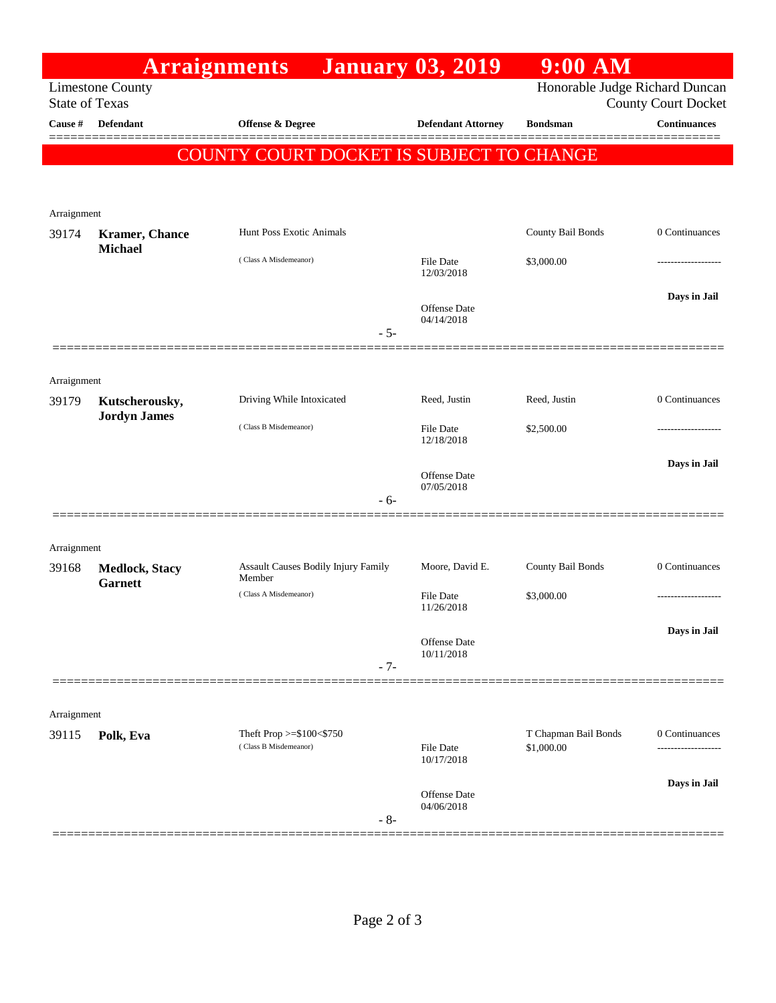|                       |                                         | <b>Arraignments</b>                                          | <b>January 03, 2019</b>        | $9:00$ AM            |                     |
|-----------------------|-----------------------------------------|--------------------------------------------------------------|--------------------------------|----------------------|---------------------|
| <b>State of Texas</b> | <b>Limestone County</b>                 | Honorable Judge Richard Duncan<br><b>County Court Docket</b> |                                |                      |                     |
| Cause #               | Defendant                               | <b>Offense &amp; Degree</b>                                  | <b>Defendant Attorney</b>      | <b>Bondsman</b>      | <b>Continuances</b> |
|                       |                                         | COUNTY COURT DOCKET IS SUBJECT TO CHANGE                     |                                |                      |                     |
|                       |                                         |                                                              |                                |                      |                     |
|                       |                                         |                                                              |                                |                      |                     |
| Arraignment<br>39174  | <b>Kramer</b> , Chance                  | Hunt Poss Exotic Animals                                     |                                | County Bail Bonds    | 0 Continuances      |
|                       | <b>Michael</b>                          | (Class A Misdemeanor)                                        | File Date                      | \$3,000.00           |                     |
|                       |                                         |                                                              | 12/03/2018                     |                      |                     |
|                       |                                         |                                                              | Offense Date                   |                      | Days in Jail        |
|                       |                                         | $-5-$                                                        | 04/14/2018                     |                      |                     |
|                       |                                         |                                                              |                                |                      |                     |
| Arraignment           |                                         |                                                              |                                |                      |                     |
| 39179                 | Kutscherousky,                          | Driving While Intoxicated                                    | Reed, Justin                   | Reed, Justin         | 0 Continuances      |
|                       | <b>Jordyn James</b>                     | (Class B Misdemeanor)                                        | File Date                      | \$2,500.00           |                     |
|                       |                                         |                                                              | 12/18/2018                     |                      | Days in Jail        |
|                       |                                         |                                                              | Offense Date<br>07/05/2018     |                      |                     |
|                       |                                         | $-6-$                                                        |                                |                      |                     |
|                       |                                         |                                                              |                                |                      |                     |
| Arraignment<br>39168  |                                         | Assault Causes Bodily Injury Family                          | Moore, David E.                | County Bail Bonds    | 0 Continuances      |
|                       | <b>Medlock, Stacy</b><br><b>Garnett</b> | Member                                                       |                                |                      |                     |
|                       |                                         | (Class A Misdemeanor)                                        | <b>File Date</b><br>11/26/2018 | \$3,000.00           | .                   |
|                       |                                         |                                                              | Offense Date                   |                      | Days in Jail        |
|                       |                                         | $-7-$                                                        | 10/11/2018                     |                      |                     |
|                       |                                         |                                                              |                                |                      |                     |
| Arraignment           |                                         |                                                              |                                |                      |                     |
| 39115                 | Polk, Eva                               | Theft Prop $>=\$100<\$750$<br>(Class B Misdemeanor)          |                                | T Chapman Bail Bonds | 0 Continuances      |
|                       |                                         |                                                              | <b>File Date</b><br>10/17/2018 | \$1,000.00           |                     |
|                       |                                         |                                                              | Offense Date                   |                      | Days in Jail        |
|                       |                                         | $-8-$                                                        | 04/06/2018                     |                      |                     |
|                       |                                         |                                                              |                                |                      |                     |